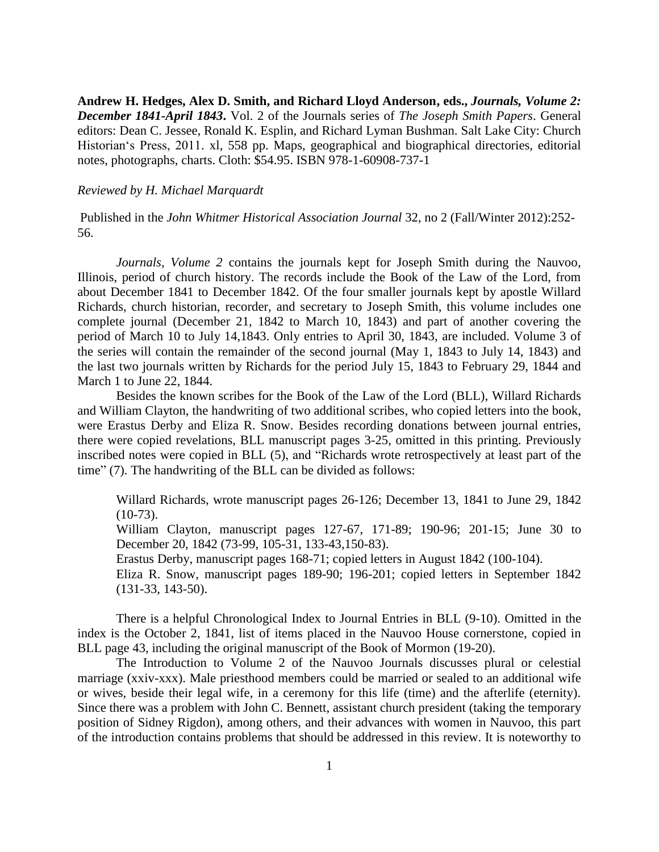**Andrew H. Hedges, Alex D. Smith, and Richard Lloyd Anderson, eds.,** *Journals, Volume 2: December 1841-April 1843***.** Vol. 2 of the Journals series of *The Joseph Smith Papers*. General editors: Dean C. Jessee, Ronald K. Esplin, and Richard Lyman Bushman. Salt Lake City: Church Historian's Press, 2011. xl, 558 pp. Maps, geographical and biographical directories, editorial notes, photographs, charts. Cloth: \$54.95. ISBN 978-1-60908-737-1

## *Reviewed by H. Michael Marquardt*

Published in the *John Whitmer Historical Association Journal* 32, no 2 (Fall/Winter 2012):252- 56.

*Journals, Volume 2* contains the journals kept for Joseph Smith during the Nauvoo, Illinois, period of church history. The records include the Book of the Law of the Lord, from about December 1841 to December 1842. Of the four smaller journals kept by apostle Willard Richards, church historian, recorder, and secretary to Joseph Smith, this volume includes one complete journal (December 21, 1842 to March 10, 1843) and part of another covering the period of March 10 to July 14,1843. Only entries to April 30, 1843, are included. Volume 3 of the series will contain the remainder of the second journal (May 1, 1843 to July 14, 1843) and the last two journals written by Richards for the period July 15, 1843 to February 29, 1844 and March 1 to June 22, 1844.

Besides the known scribes for the Book of the Law of the Lord (BLL), Willard Richards and William Clayton, the handwriting of two additional scribes, who copied letters into the book, were Erastus Derby and Eliza R. Snow. Besides recording donations between journal entries, there were copied revelations, BLL manuscript pages 3-25, omitted in this printing. Previously inscribed notes were copied in BLL (5), and "Richards wrote retrospectively at least part of the time" (7). The handwriting of the BLL can be divided as follows:

Willard Richards, wrote manuscript pages 26-126; December 13, 1841 to June 29, 1842  $(10-73)$ .

William Clayton, manuscript pages 127-67, 171-89; 190-96; 201-15; June 30 to December 20, 1842 (73-99, 105-31, 133-43,150-83).

Erastus Derby, manuscript pages 168-71; copied letters in August 1842 (100-104).

Eliza R. Snow, manuscript pages 189-90; 196-201; copied letters in September 1842 (131-33, 143-50).

There is a helpful Chronological Index to Journal Entries in BLL (9-10). Omitted in the index is the October 2, 1841, list of items placed in the Nauvoo House cornerstone, copied in BLL page 43, including the original manuscript of the Book of Mormon (19-20).

The Introduction to Volume 2 of the Nauvoo Journals discusses plural or celestial marriage (xxiv-xxx). Male priesthood members could be married or sealed to an additional wife or wives, beside their legal wife, in a ceremony for this life (time) and the afterlife (eternity). Since there was a problem with John C. Bennett, assistant church president (taking the temporary position of Sidney Rigdon), among others, and their advances with women in Nauvoo, this part of the introduction contains problems that should be addressed in this review. It is noteworthy to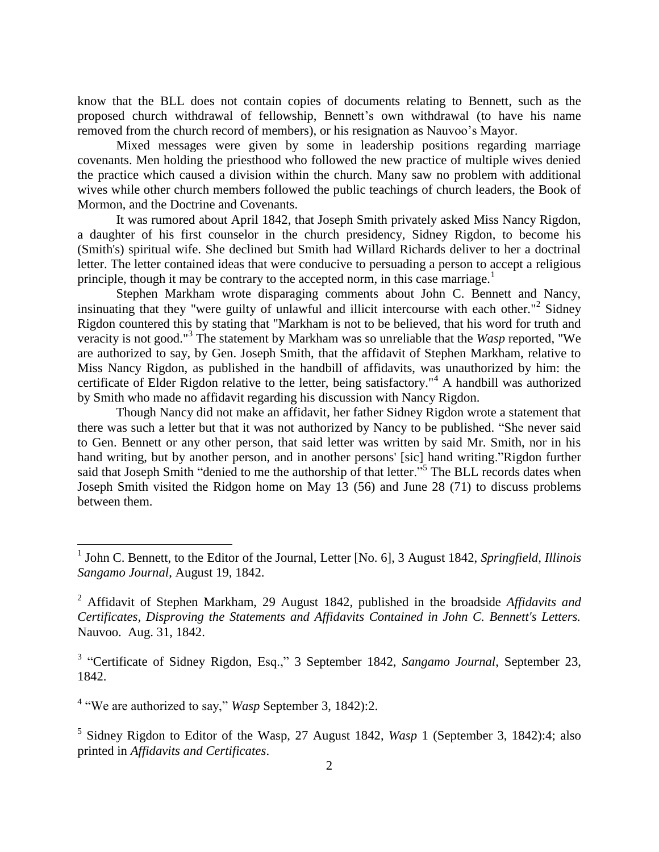know that the BLL does not contain copies of documents relating to Bennett, such as the proposed church withdrawal of fellowship, Bennett's own withdrawal (to have his name removed from the church record of members), or his resignation as Nauvoo's Mayor.

Mixed messages were given by some in leadership positions regarding marriage covenants. Men holding the priesthood who followed the new practice of multiple wives denied the practice which caused a division within the church. Many saw no problem with additional wives while other church members followed the public teachings of church leaders, the Book of Mormon, and the Doctrine and Covenants.

It was rumored about April 1842, that Joseph Smith privately asked Miss Nancy Rigdon, a daughter of his first counselor in the church presidency, Sidney Rigdon, to become his (Smith's) spiritual wife. She declined but Smith had Willard Richards deliver to her a doctrinal letter. The letter contained ideas that were conducive to persuading a person to accept a religious principle, though it may be contrary to the accepted norm, in this case marriage.<sup>1</sup>

Stephen Markham wrote disparaging comments about John C. Bennett and Nancy, insinuating that they "were guilty of unlawful and illicit intercourse with each other."<sup>2</sup> Sidney Rigdon countered this by stating that "Markham is not to be believed, that his word for truth and veracity is not good."<sup>3</sup> The statement by Markham was so unreliable that the *Wasp* reported, "We are authorized to say, by Gen. Joseph Smith, that the affidavit of Stephen Markham, relative to Miss Nancy Rigdon, as published in the handbill of affidavits, was unauthorized by him: the certificate of Elder Rigdon relative to the letter, being satisfactory.<sup>"4</sup> A handbill was authorized by Smith who made no affidavit regarding his discussion with Nancy Rigdon.

Though Nancy did not make an affidavit, her father Sidney Rigdon wrote a statement that there was such a letter but that it was not authorized by Nancy to be published. "She never said to Gen. Bennett or any other person, that said letter was written by said Mr. Smith, nor in his hand writing, but by another person, and in another persons' [sic] hand writing."Rigdon further said that Joseph Smith "denied to me the authorship of that letter."<sup>5</sup> The BLL records dates when Joseph Smith visited the Ridgon home on May 13 (56) and June 28 (71) to discuss problems between them.

<sup>4</sup> "We are authorized to say," *Wasp* September 3, 1842):2.

5 Sidney Rigdon to Editor of the Wasp, 27 August 1842, *Wasp* 1 (September 3, 1842):4; also printed in *Affidavits and Certificates*.

 1 John C. Bennett, to the Editor of the Journal, Letter [No. 6], 3 August 1842, *Springfield, Illinois Sangamo Journal*, August 19, 1842.

<sup>2</sup> Affidavit of Stephen Markham, 29 August 1842, published in the broadside *Affidavits and Certificates, Disproving the Statements and Affidavits Contained in John C. Bennett's Letters.*  Nauvoo. Aug. 31, 1842.

<sup>&</sup>lt;sup>3</sup> "Certificate of Sidney Rigdon, Esq.," 3 September 1842, *Sangamo Journal*, September 23, 1842.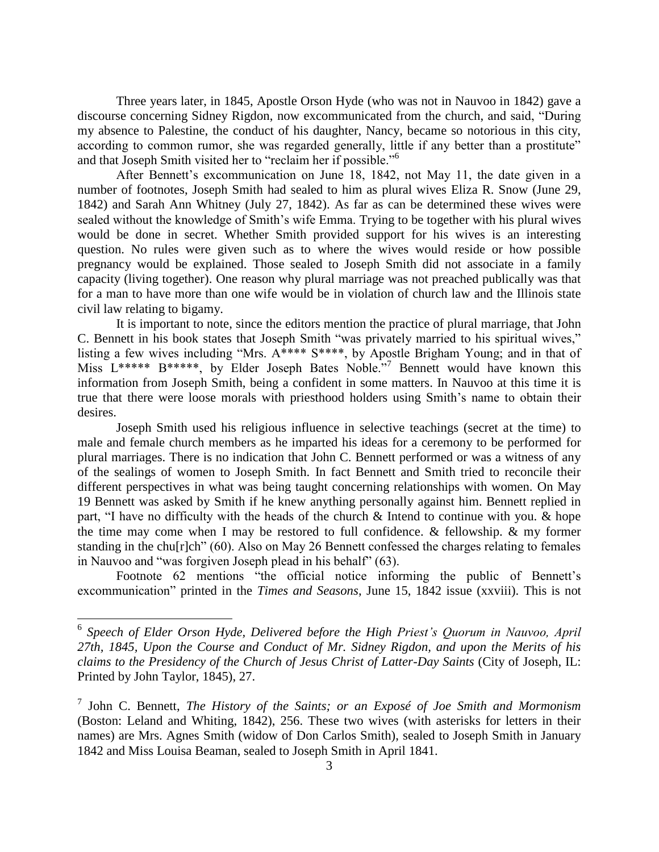Three years later, in 1845, Apostle Orson Hyde (who was not in Nauvoo in 1842) gave a discourse concerning Sidney Rigdon, now excommunicated from the church, and said, "During my absence to Palestine, the conduct of his daughter, Nancy, became so notorious in this city, according to common rumor, she was regarded generally, little if any better than a prostitute" and that Joseph Smith visited her to "reclaim her if possible."<sup>6</sup>

After Bennett's excommunication on June 18, 1842, not May 11, the date given in a number of footnotes, Joseph Smith had sealed to him as plural wives Eliza R. Snow (June 29, 1842) and Sarah Ann Whitney (July 27, 1842). As far as can be determined these wives were sealed without the knowledge of Smith's wife Emma. Trying to be together with his plural wives would be done in secret. Whether Smith provided support for his wives is an interesting question. No rules were given such as to where the wives would reside or how possible pregnancy would be explained. Those sealed to Joseph Smith did not associate in a family capacity (living together). One reason why plural marriage was not preached publically was that for a man to have more than one wife would be in violation of church law and the Illinois state civil law relating to bigamy.

It is important to note, since the editors mention the practice of plural marriage, that John C. Bennett in his book states that Joseph Smith "was privately married to his spiritual wives," listing a few wives including "Mrs. A\*\*\*\* S\*\*\*\*, by Apostle Brigham Young; and in that of Miss L\*\*\*\*\* B\*\*\*\*\*, by Elder Joseph Bates Noble."<sup>7</sup> Bennett would have known this information from Joseph Smith, being a confident in some matters. In Nauvoo at this time it is true that there were loose morals with priesthood holders using Smith's name to obtain their desires.

Joseph Smith used his religious influence in selective teachings (secret at the time) to male and female church members as he imparted his ideas for a ceremony to be performed for plural marriages. There is no indication that John C. Bennett performed or was a witness of any of the sealings of women to Joseph Smith. In fact Bennett and Smith tried to reconcile their different perspectives in what was being taught concerning relationships with women. On May 19 Bennett was asked by Smith if he knew anything personally against him. Bennett replied in part, "I have no difficulty with the heads of the church & Intend to continue with you. & hope the time may come when I may be restored to full confidence. & fellowship. & my former standing in the chu[r]ch" (60). Also on May 26 Bennett confessed the charges relating to females in Nauvoo and "was forgiven Joseph plead in his behalf" (63).

Footnote 62 mentions "the official notice informing the public of Bennett's excommunication" printed in the *Times and Seasons*, June 15, 1842 issue (xxviii). This is not

 6 *Speech of Elder Orson Hyde, Delivered before the High Priest's Quorum in Nauvoo, April 27th, 1845, Upon the Course and Conduct of Mr. Sidney Rigdon, and upon the Merits of his claims to the Presidency of the Church of Jesus Christ of Latter-Day Saints* (City of Joseph, IL: Printed by John Taylor, 1845), 27.

<sup>7</sup> John C. Bennett, *The History of the Saints; or an Exposé of Joe Smith and Mormonism* (Boston: Leland and Whiting, 1842), 256. These two wives (with asterisks for letters in their names) are Mrs. Agnes Smith (widow of Don Carlos Smith), sealed to Joseph Smith in January 1842 and Miss Louisa Beaman, sealed to Joseph Smith in April 1841.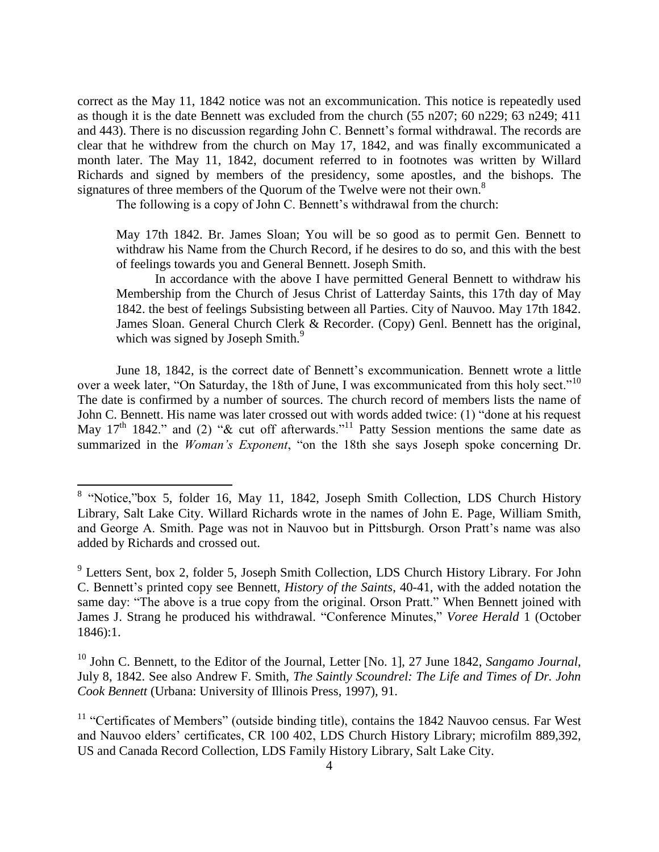correct as the May 11, 1842 notice was not an excommunication. This notice is repeatedly used as though it is the date Bennett was excluded from the church (55 n207; 60 n229; 63 n249; 411 and 443). There is no discussion regarding John C. Bennett's formal withdrawal. The records are clear that he withdrew from the church on May 17, 1842, and was finally excommunicated a month later. The May 11, 1842, document referred to in footnotes was written by Willard Richards and signed by members of the presidency, some apostles, and the bishops. The signatures of three members of the Quorum of the Twelve were not their own.<sup>8</sup>

The following is a copy of John C. Bennett's withdrawal from the church:

May 17th 1842. Br. James Sloan; You will be so good as to permit Gen. Bennett to withdraw his Name from the Church Record, if he desires to do so, and this with the best of feelings towards you and General Bennett. Joseph Smith.

In accordance with the above I have permitted General Bennett to withdraw his Membership from the Church of Jesus Christ of Latterday Saints, this 17th day of May 1842. the best of feelings Subsisting between all Parties. City of Nauvoo. May 17th 1842. James Sloan. General Church Clerk & Recorder. (Copy) Genl. Bennett has the original, which was signed by Joseph Smith.<sup>9</sup>

June 18, 1842, is the correct date of Bennett's excommunication. Bennett wrote a little over a week later, "On Saturday, the 18th of June, I was excommunicated from this holy sect."<sup>10</sup> The date is confirmed by a number of sources. The church record of members lists the name of John C. Bennett. His name was later crossed out with words added twice: (1) "done at his request May 17<sup>th</sup> 1842." and (2) " $\&$  cut off afterwards."<sup>11</sup> Patty Session mentions the same date as summarized in the *Woman's Exponent*, "on the 18th she says Joseph spoke concerning Dr.

 $\overline{a}$ 

<sup>&</sup>lt;sup>8</sup> "Notice,"box 5, folder 16, May 11, 1842, Joseph Smith Collection, LDS Church History Library, Salt Lake City. Willard Richards wrote in the names of John E. Page, William Smith, and George A. Smith. Page was not in Nauvoo but in Pittsburgh. Orson Pratt's name was also added by Richards and crossed out.

<sup>&</sup>lt;sup>9</sup> Letters Sent, box 2, folder 5, Joseph Smith Collection, LDS Church History Library. For John C. Bennett's printed copy see Bennett, *History of the Saints*, 40-41, with the added notation the same day: "The above is a true copy from the original. Orson Pratt." When Bennett joined with James J. Strang he produced his withdrawal. "Conference Minutes," *Voree Herald* 1 (October 1846):1.

<sup>&</sup>lt;sup>10</sup> John C. Bennett, to the Editor of the Journal, Letter [No. 1], 27 June 1842, *Sangamo Journal*, July 8, 1842. See also Andrew F. Smith, *The Saintly Scoundrel: The Life and Times of Dr. John Cook Bennett* (Urbana: University of Illinois Press, 1997), 91.

 $11$  "Certificates of Members" (outside binding title), contains the 1842 Nauvoo census. Far West and Nauvoo elders' certificates, CR 100 402, LDS Church History Library; microfilm 889,392, US and Canada Record Collection, LDS Family History Library, Salt Lake City.